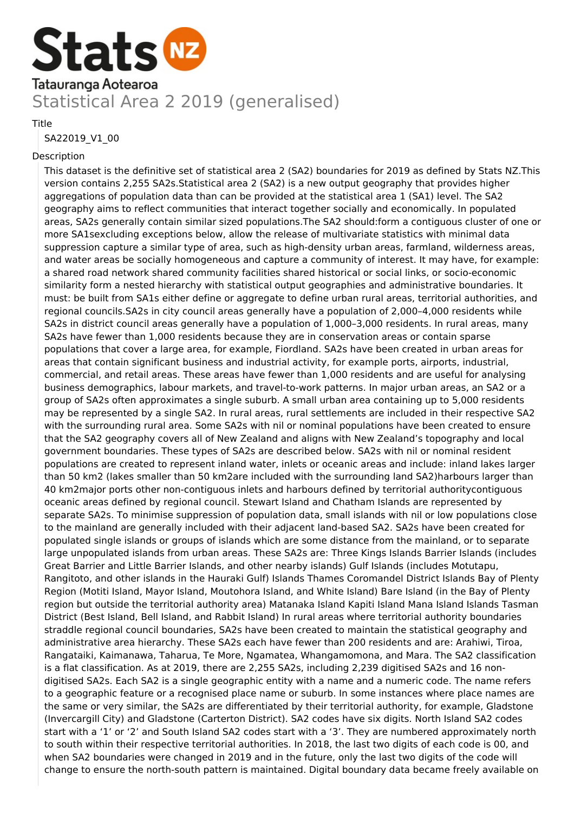

Title

SA22019\_V1\_00

#### Description

This dataset is the definitive set of statistical area 2 (SA2) boundaries for 2019 as defined by Stats NZ.This version contains 2,255 SA2s.Statistical area 2 (SA2) is a new output geography that provides higher aggregations of population data than can be provided at the statistical area 1 (SA1) level. The SA2 geography aims to reflect communities that interact together socially and economically. In populated areas, SA2s generally contain similar sized populations.The SA2 should:form a contiguous cluster of one or more SA1sexcluding exceptions below, allow the release of multivariate statistics with minimal data suppression capture a similar type of area, such as high-density urban areas, farmland, wilderness areas, and water areas be socially homogeneous and capture a community of interest. It may have, for example: a shared road network shared community facilities shared historical or social links, or socio-economic similarity form a nested hierarchy with statistical output geographies and administrative boundaries. It must: be built from SA1s either define or aggregate to define urban rural areas, territorial authorities, and regional councils.SA2s in city council areas generally have a population of 2,000–4,000 residents while SA2s in district council areas generally have a population of 1,000–3,000 residents. In rural areas, many SA2s have fewer than 1,000 residents because they are in conservation areas or contain sparse populations that cover a large area, for example, Fiordland. SA2s have been created in urban areas for areas that contain significant business and industrial activity, for example ports, airports, industrial, commercial, and retail areas. These areas have fewer than 1,000 residents and are useful for analysing business demographics, labour markets, and travel-to-work patterns. In major urban areas, an SA2 or a group of SA2s often approximates a single suburb. A small urban area containing up to 5,000 residents may be represented by a single SA2. In rural areas, rural settlements are included in their respective SA2 with the surrounding rural area. Some SA2s with nil or nominal populations have been created to ensure that the SA2 geography covers all of New Zealand and aligns with New Zealand's topography and local government boundaries. These types of SA2s are described below. SA2s with nil or nominal resident populations are created to represent inland water, inlets or oceanic areas and include: inland lakes larger than 50 km2 (lakes smaller than 50 km2are included with the surrounding land SA2)harbours larger than 40 km2major ports other non-contiguous inlets and harbours defined by territorial authoritycontiguous oceanic areas defined by regional council. Stewart Island and Chatham Islands are represented by separate SA2s. To minimise suppression of population data, small islands with nil or low populations close to the mainland are generally included with their adjacent land-based SA2. SA2s have been created for populated single islands or groups of islands which are some distance from the mainland, or to separate large unpopulated islands from urban areas. These SA2s are: Three Kings Islands Barrier Islands (includes Great Barrier and Little Barrier Islands, and other nearby islands) Gulf Islands (includes Motutapu, Rangitoto, and other islands in the Hauraki Gulf) Islands Thames Coromandel District Islands Bay of Plenty Region (Motiti Island, Mayor Island, Moutohora Island, and White Island) Bare Island (in the Bay of Plenty region but outside the territorial authority area) Matanaka Island Kapiti Island Mana Island Islands Tasman District (Best Island, Bell Island, and Rabbit Island) In rural areas where territorial authority boundaries straddle regional council boundaries, SA2s have been created to maintain the statistical geography and administrative area hierarchy. These SA2s each have fewer than 200 residents and are: Arahiwi, Tiroa, Rangataiki, Kaimanawa, Taharua, Te More, Ngamatea, Whangamomona, and Mara. The SA2 classification is a flat classification. As at 2019, there are 2,255 SA2s, including 2,239 digitised SA2s and 16 nondigitised SA2s. Each SA2 is a single geographic entity with a name and a numeric code. The name refers to a geographic feature or a recognised place name or suburb. In some instances where place names are the same or very similar, the SA2s are differentiated by their territorial authority, for example, Gladstone (Invercargill City) and Gladstone (Carterton District). SA2 codes have six digits. North Island SA2 codes start with a '1' or '2' and South Island SA2 codes start with a '3'. They are numbered approximately north to south within their respective territorial authorities. In 2018, the last two digits of each code is 00, and when SA2 boundaries were changed in 2019 and in the future, only the last two digits of the code will change to ensure the north-south pattern is maintained. Digital boundary data became freely available on